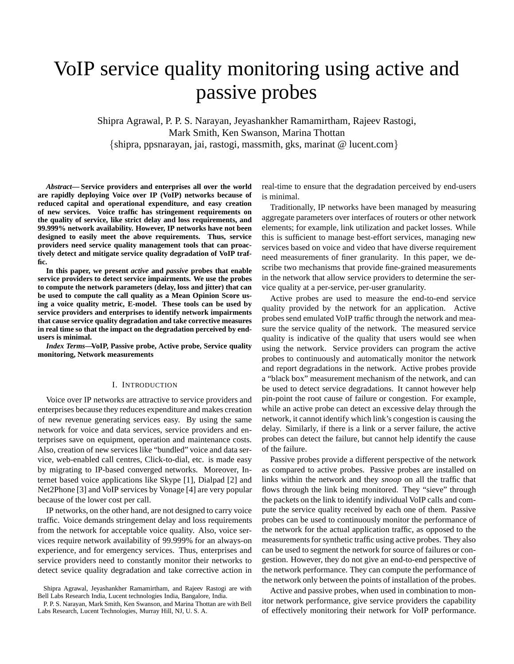# VoIP service quality monitoring using active and passive probes

Shipra Agrawal, P. P. S. Narayan, Jeyashankher Ramamirtham, Rajeev Rastogi, Mark Smith, Ken Swanson, Marina Thottan {shipra, ppsnarayan, jai, rastogi, massmith, gks, marinat @ lucent.com}

*Abstract***— Service providers and enterprises all over the world are rapidly deploying Voice over IP (VoIP) networks because of reduced capital and operational expenditure, and easy creation of new services. Voice traffic has stringement requirements on the quality of service, like strict delay and loss requirements, and 99.999% network availability. However, IP networks have not been designed to easily meet the above requirements. Thus, service providers need service quality management tools that can proactively detect and mitigate service quality degradation of VoIP traffic.**

**In this paper, we present** *active* **and** *passive* **probes that enable service providers to detect service impairments. We use the probes to compute the network parameters (delay, loss and jitter) that can be used to compute the call quality as a Mean Opinion Score using a voice quality metric, E-model. These tools can be used by service providers and enterprises to identify network impairments that cause service quality degradation and take corrective measures in real time so that the impact on the degradation perceived by endusers is minimal.**

*Index Terms***—VoIP, Passive probe, Active probe, Service quality monitoring, Network measurements**

#### I. INTRODUCTION

Voice over IP networks are attractive to service providers and enterprises because they reduces expenditure and makes creation of new revenue generating services easy. By using the same network for voice and data services, service providers and enterprises save on equipment, operation and maintenance costs. Also, creation of new services like "bundled" voice and data service, web-enabled call centres, Click-to-dial, etc. is made easy by migrating to IP-based converged networks. Moreover, Internet based voice applications like Skype [1], Dialpad [2] and Net2Phone [3] and VoIP services by Vonage [4] are very popular because of the lower cost per call.

IP networks, on the other hand, are not designed to carry voice traffic. Voice demands stringement delay and loss requirements from the network for acceptable voice quality. Also, voice services require network availability of 99.999% for an always-on experience, and for emergency services. Thus, enterprises and service providers need to constantly monitor their networks to detect sevice quality degradation and take corrective action in real-time to ensure that the degradation perceived by end-users is minimal.

Traditionally, IP networks have been managed by measuring aggregate parameters over interfaces of routers or other network elements; for example, link utilization and packet losses. While this is sufficient to manage best-effort services, managing new services based on voice and video that have diverse requirement need measurements of finer granularity. In this paper, we describe two mechanisms that provide fine-grained measurements in the network that allow service providers to determine the service quality at a per-service, per-user granularity.

Active probes are used to measure the end-to-end service quality provided by the network for an application. Active probes send emulated VoIP traffic through the network and measure the service quality of the network. The measured service quality is indicative of the quality that users would see when using the network. Service providers can program the active probes to continuously and automatically monitor the network and report degradations in the network. Active probes provide a "black box" measurement mechanism of the network, and can be used to detect service degradations. It cannot however help pin-point the root cause of failure or congestion. For example, while an active probe can detect an excessive delay through the network, it cannot identify which link's congestion is causing the delay. Similarly, if there is a link or a server failure, the active probes can detect the failure, but cannot help identify the cause of the failure.

Passive probes provide a different perspective of the network as compared to active probes. Passive probes are installed on links within the network and they *snoop* on all the traffic that flows through the link being monitored. They "sieve" through the packets on the link to identify individual VoIP calls and compute the service quality received by each one of them. Passive probes can be used to continuously monitor the performance of the network for the actual application traffic, as opposed to the measurements for synthetic traffic using active probes. They also can be used to segment the network for source of failures or congestion. However, they do not give an end-to-end perspective of the network performance. They can compute the performance of the network only between the points of installation of the probes.

Active and passive probes, when used in combination to monitor network performance, give service providers the capability of effectively monitoring their network for VoIP performance.

Shipra Agrawal, Jeyashankher Ramamirtham, and Rajeev Rastogi are with Bell Labs Research India, Lucent technologies India, Bangalore, India.

P. P. S. Narayan, Mark Smith, Ken Swanson, and Marina Thottan are with Bell Labs Research, Lucent Technologies, Murray Hill, NJ, U. S. A.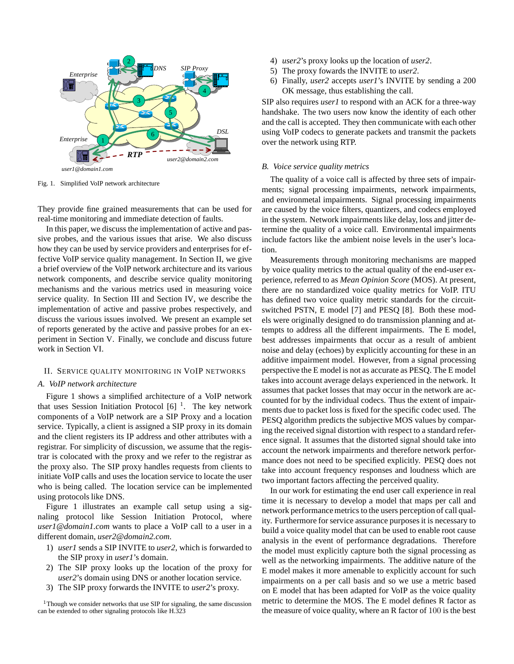

Fig. 1. Simplified VoIP network architecture

They provide fine grained measurements that can be used for real-time monitoring and immediate detection of faults.

In this paper, we discuss the implementation of active and passive probes, and the various issues that arise. We also discuss how they can be used by service providers and enterprises for effective VoIP service quality management. In Section II, we give a brief overview of the VoIP network architecture and its various network components, and describe service quality monitoring mechanisms and the various metrics used in measuring voice service quality. In Section III and Section IV, we describe the implementation of active and passive probes respectively, and discuss the various issues involved. We present an example set of reports generated by the active and passive probes for an experiment in Section V. Finally, we conclude and discuss future work in Section VI.

## II. SERVICE QUALITY MONITORING IN VOIP NETWORKS

### *A. VoIP network architecture*

Figure 1 shows a simplified architecture of a VoIP network that uses Session Initiation Protocol  $[6]$ <sup>1</sup>. The key network components of a VoIP network are a SIP Proxy and a location service. Typically, a client is assigned a SIP proxy in its domain and the client registers its IP address and other attributes with a registrar. For simplicity of discussion, we assume that the registrar is colocated with the proxy and we refer to the registrar as the proxy also. The SIP proxy handles requests from clients to initiate VoIP calls and uses the location service to locate the user who is being called. The location service can be implemented using protocols like DNS.

Figure 1 illustrates an example call setup using a signaling protocol like Session Initiation Protocol, where *user1@domain1.com* wants to place a VoIP call to a user in a different domain, *user2@domain2.com*.

- 1) *user1* sends a SIP INVITE to *user2*, which is forwarded to the SIP proxy in *user1*'s domain.
- 2) The SIP proxy looks up the location of the proxy for *user2*'s domain using DNS or another location service.
- 3) The SIP proxy forwards the INVITE to *user2*'s proxy.
- 4) *user2*'s proxy looks up the location of *user2*.
- 5) The proxy fowards the INVITE to *user2*.
- 6) Finally, *user2* accepts *user1*'s INVITE by sending a 200 OK message, thus establishing the call.

SIP also requires *user1* to respond with an ACK for a three-way handshake. The two users now know the identity of each other and the call is accepted. They then communicate with each other using VoIP codecs to generate packets and transmit the packets over the network using RTP.

## *B. Voice service quality metrics*

The quality of a voice call is affected by three sets of impairments; signal processing impairments, network impairments, and environmetal impairments. Signal processing impairments are caused by the voice filters, quantizers, and codecs employed in the system. Network impairments like delay, loss and jitter determine the quality of a voice call. Environmental impairments include factors like the ambient noise levels in the user's location.

Measurements through monitoring mechanisms are mapped by voice quality metrics to the actual quality of the end-user experience, referred to as *Mean Opinion Score* (MOS). At present, there are no standardized voice quality metrics for VoIP. ITU has defined two voice quality metric standards for the circuitswitched PSTN, E model [7] and PESQ [8]. Both these models were originally designed to do transmission planning and attempts to address all the different impairments. The E model, best addresses impairments that occur as a result of ambient noise and delay (echoes) by explicitly accounting for these in an additive impairment model. However, from a signal processing perspective the E model is not as accurate as PESQ. The E model takes into account average delays experienced in the network. It assumes that packet losses that may occur in the network are accounted for by the individual codecs. Thus the extent of impairments due to packet loss is fixed for the specific codec used. The PESQ algorithm predicts the subjective MOS values by comparing the received signal distortion with respect to a standard reference signal. It assumes that the distorted signal should take into account the network impairments and therefore network performance does not need to be specified explicitly. PESQ does not take into account frequency responses and loudness which are two important factors affecting the perceived quality.

In our work for estimating the end user call experience in real time it is necessary to develop a model that maps per call and network performance metrics to the users perception of call quality. Furthermore for service assurance purposes it is necessary to build a voice quality model that can be used to enable root cause analysis in the event of performance degradations. Therefore the model must explicitly capture both the signal processing as well as the networking impairments. The additive nature of the E model makes it more amenable to explicitly account for such impairments on a per call basis and so we use a metric based on E model that has been adapted for VoIP as the voice quality metric to determine the MOS. The E model defines R factor as the measure of voice quality, where an R factor of 100 is the best

<sup>&</sup>lt;sup>1</sup>Though we consider networks that use SIP for signaling, the same discussion can be extended to other signaling protocols like H.323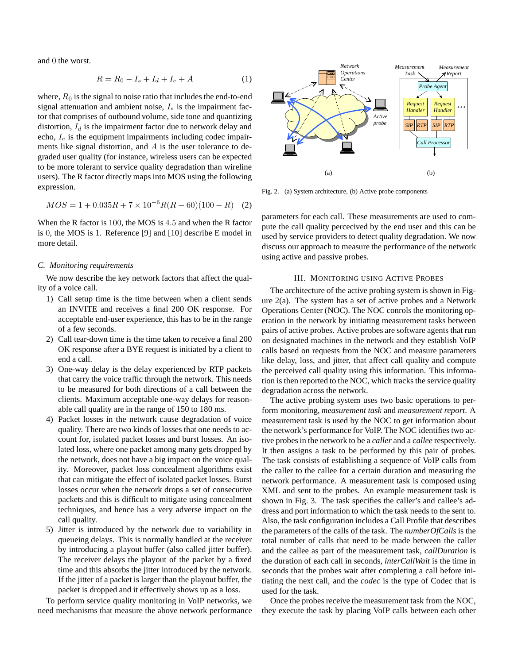and 0 the worst.

$$
R = R_0 - I_s + I_d + I_e + A \tag{1}
$$

where,  $R_0$  is the signal to noise ratio that includes the end-to-end signal attenuation and ambient noise,  $I_s$  is the impairment factor that comprises of outbound volume, side tone and quantizing distortion,  $I_d$  is the impairment factor due to network delay and echo,  $I_e$  is the equipment impairments including codec impairments like signal distortion, and  $A$  is the user tolerance to degraded user quality (for instance, wireless users can be expected to be more tolerant to service quality degradation than wireline users). The R factor directly maps into MOS using the following expression.

$$
MOS = 1 + 0.035R + 7 \times 10^{-6} R(R - 60)(100 - R)
$$
 (2)

When the R factor is 100, the MOS is 4.5 and when the R factor is 0, the MOS is 1. Reference [9] and [10] describe E model in more detail.

### *C. Monitoring requirements*

We now describe the key network factors that affect the quality of a voice call.

- 1) Call setup time is the time between when a client sends an INVITE and receives a final 200 OK response. For acceptable end-user experience, this has to be in the range of a few seconds.
- 2) Call tear-down time is the time taken to receive a final 200 OK response after a BYE request is initiated by a client to end a call.
- 3) One-way delay is the delay experienced by RTP packets that carry the voice traffic through the network. This needs to be measured for both directions of a call between the clients. Maximum acceptable one-way delays for reasonable call quality are in the range of 150 to 180 ms.
- 4) Packet losses in the network cause degradation of voice quality. There are two kinds of losses that one needs to account for, isolated packet losses and burst losses. An isolated loss, where one packet among many gets dropped by the network, does not have a big impact on the voice quality. Moreover, packet loss concealment algorithms exist that can mitigate the effect of isolated packet losses. Burst losses occur when the network drops a set of consecutive packets and this is difficult to mitigate using concealment techniques, and hence has a very adverse impact on the call quality.
- 5) Jitter is introduced by the network due to variability in queueing delays. This is normally handled at the receiver by introducing a playout buffer (also called jitter buffer). The receiver delays the playout of the packet by a fixed time and this absorbs the jitter introduced by the network. If the jitter of a packet is larger than the playout buffer, the packet is dropped and it effectively shows up as a loss.

To perform service quality monitoring in VoIP networks, we need mechanisms that measure the above network performance



Fig. 2. (a) System architecture, (b) Active probe components

parameters for each call. These measurements are used to compute the call quality percecived by the end user and this can be used by service providers to detect quality degradation. We now discuss our approach to measure the performance of the network using active and passive probes.

#### III. MONITORING USING ACTIVE PROBES

The architecture of the active probing system is shown in Figure 2(a). The system has a set of active probes and a Network Operations Center (NOC). The NOC conrols the monitoring operation in the network by initiating measurement tasks between pairs of active probes. Active probes are software agents that run on designated machines in the network and they establish VoIP calls based on requests from the NOC and measure parameters like delay, loss, and jitter, that affect call quality and compute the perceived call quality using this information. This information is then reported to the NOC, which tracks the service quality degradation across the network.

The active probing system uses two basic operations to perform monitoring, *measurement task* and *measurement report*. A measurement task is used by the NOC to get information about the network's performance for VoIP. The NOC identifies two active probes in the network to be a *caller* and a *callee* respectively. It then assigns a task to be performed by this pair of probes. The task consists of establishing a sequence of VoIP calls from the caller to the callee for a certain duration and measuring the network performance. A measurement task is composed using XML and sent to the probes. An example measurement task is shown in Fig. 3. The task specifies the caller's and callee's address and port information to which the task needs to the sent to. Also, the task configuration includes a Call Profile that describes the parameters of the calls of the task. The *numberOfCalls* is the total number of calls that need to be made between the caller and the callee as part of the measurement task, *callDuration* is the duration of each call in seconds, *interCallWait* is the time in seconds that the probes wait after completing a call before initiating the next call, and the *codec* is the type of Codec that is used for the task.

Once the probes receive the measurement task from the NOC, they execute the task by placing VoIP calls between each other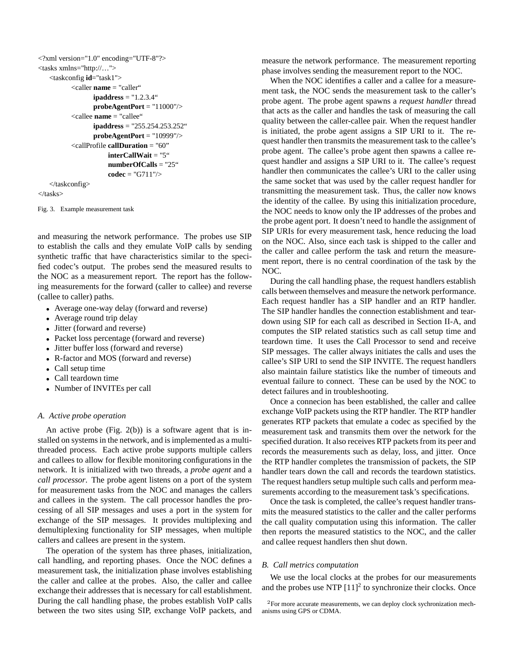```
<?xml version="1.0" encoding="UTF-8"?>
<tasks xmlns="http://…">
   <taskconfig id="task1">
          <caller name = "caller"
                 ipaddress = "1.2.3.4"
                 probeAgentPort = "11000"/>
          <callee name = "callee"
                 ipaddress = "255.254.253.252"
                 probeAgentPort = "10999"/>
          <callProfile callDuration = "60"
                     interCallWait = "5"
                     numberOfCalls = "25"
                     codec = "G711"/>
   </taskconfig>
```

```
</tasks>
```

```
Fig. 3. Example measurement task
```
and measuring the network performance. The probes use SIP to establish the calls and they emulate VoIP calls by sending synthetic traffic that have characteristics similar to the specified codec's output. The probes send the measured results to the NOC as a measurement report. The report has the following measurements for the forward (caller to callee) and reverse (callee to caller) paths.

- Average one-way delay (forward and reverse)
- Average round trip delay
- Jitter (forward and reverse)
- Packet loss percentage (forward and reverse)
- Jitter buffer loss (forward and reverse)
- R-factor and MOS (forward and reverse)
- Call setup time
- Call teardown time
- Number of INVITEs per call

## *A. Active probe operation*

An active probe (Fig. 2(b)) is a software agent that is installed on systems in the network, and is implemented as a multithreaded process. Each active probe supports multiple callers and callees to allow for flexible monitoring configurations in the network. It is initialized with two threads, a *probe agent* and a *call processor*. The probe agent listens on a port of the system for measurement tasks from the NOC and manages the callers and callees in the system. The call processor handles the processing of all SIP messages and uses a port in the system for exchange of the SIP messages. It provides multiplexing and demultiplexing functionality for SIP messages, when multiple callers and callees are present in the system.

The operation of the system has three phases, initialization, call handling, and reporting phases. Once the NOC defines a measurement task, the initialization phase involves establishing the caller and callee at the probes. Also, the caller and callee exchange their addresses that is necessary for call establishment. During the call handling phase, the probes establish VoIP calls between the two sites using SIP, exchange VoIP packets, and measure the network performance. The measurement reporting phase involves sending the measurement report to the NOC.

When the NOC identifies a caller and a callee for a measurement task, the NOC sends the measurement task to the caller's probe agent. The probe agent spawns a *request handler* thread that acts as the caller and handles the task of measuring the call quality between the caller-callee pair. When the request handler is initiated, the probe agent assigns a SIP URI to it. The request handler then transmits the measurement task to the callee's probe agent. The callee's probe agent then spawns a callee request handler and assigns a SIP URI to it. The callee's request handler then communicates the callee's URI to the caller using the same socket that was used by the caller request handler for transmitting the measurement task. Thus, the caller now knows the identity of the callee. By using this initialization procedure, the NOC needs to know only the IP addresses of the probes and the probe agent port. It doesn't need to handle the assignment of SIP URIs for every measurement task, hence reducing the load on the NOC. Also, since each task is shipped to the caller and the caller and callee perform the task and return the measurement report, there is no central coordination of the task by the NOC.

During the call handling phase, the request handlers establish calls between themselves and measure the network performance. Each request handler has a SIP handler and an RTP handler. The SIP handler handles the connection establishment and teardown using SIP for each call as described in Section II-A, and computes the SIP related statistics such as call setup time and teardown time. It uses the Call Processor to send and receive SIP messages. The caller always initiates the calls and uses the callee's SIP URI to send the SIP INVITE. The request handlers also maintain failure statistics like the number of timeouts and eventual failure to connect. These can be used by the NOC to detect failures and in troubleshooting.

Once a connecion has been established, the caller and callee exchange VoIP packets using the RTP handler. The RTP handler generates RTP packets that emulate a codec as specified by the measurement task and transmits them over the network for the specified duration. It also receives RTP packets from its peer and records the measurements such as delay, loss, and jitter. Once the RTP handler completes the transmission of packets, the SIP handler tears down the call and records the teardown statistics. The request handlers setup multiple such calls and perform measurements according to the measurement task's specifications.

Once the task is completed, the callee's request handler transmits the measured statistics to the caller and the caller performs the call quality computation using this information. The caller then reports the measured statistics to the NOC, and the caller and callee request handlers then shut down.

## *B. Call metrics computation*

We use the local clocks at the probes for our measurements and the probes use NTP  $[11]^2$  to synchronize their clocks. Once

<sup>2</sup>For more accurate measurements, we can deploy clock sychronization mechanisms using GPS or CDMA.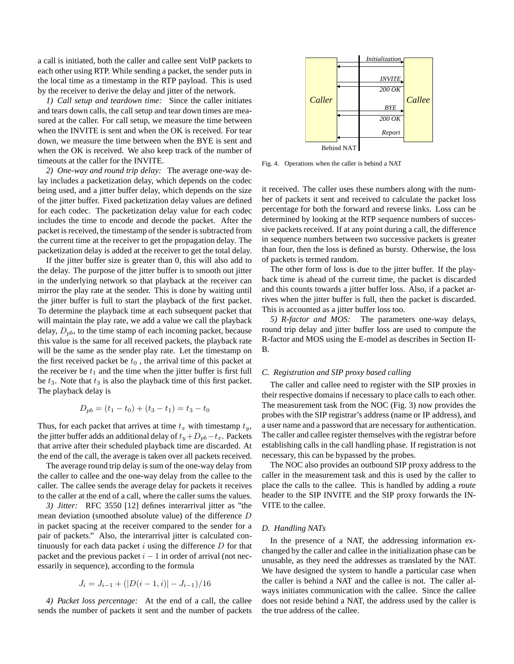a call is initiated, both the caller and callee sent VoIP packets to each other using RTP. While sending a packet, the sender puts in the local time as a timestamp in the RTP payload. This is used by the receiver to derive the delay and jitter of the network.

*1) Call setup and teardown time:* Since the caller initiates and tears down calls, the call setup and tear down times are measured at the caller. For call setup, we measure the time between when the INVITE is sent and when the OK is received. For tear down, we measure the time between when the BYE is sent and when the OK is received. We also keep track of the number of timeouts at the caller for the INVITE.

*2) One-way and round trip delay:* The average one-way delay includes a packetization delay, which depends on the codec being used, and a jitter buffer delay, which depends on the size of the jitter buffer. Fixed packetization delay values are defined for each codec. The packetization delay value for each codec includes the time to encode and decode the packet. After the packet is received, the timestamp of the sender is subtracted from the current time at the receiver to get the propagation delay. The packetization delay is added at the receiver to get the total delay.

If the jitter buffer size is greater than 0, this will also add to the delay. The purpose of the jitter buffer is to smooth out jitter in the underlying network so that playback at the receiver can mirror the play rate at the sender. This is done by waiting until the jitter buffer is full to start the playback of the first packet. To determine the playback time at each subsequent packet that will maintain the play rate, we add a value we call the playback delay,  $D_{pb}$ , to the time stamp of each incoming packet, because this value is the same for all received packets, the playback rate will be the same as the sender play rate. Let the timestamp on the first received packet be  $t_0$ , the arrival time of this packet at the receiver be  $t_1$  and the time when the jitter buffer is first full be  $t_3$ . Note that  $t_3$  is also the playback time of this first packet. The playback delay is

$$
D_{pb} = (t_1 - t_0) + (t_3 - t_1) = t_3 - t_0
$$

Thus, for each packet that arrives at time  $t_x$  with timestamp  $t_y$ , the jitter buffer adds an additional delay of  $t_y+D_{pb}-t_x$ . Packets that arrive after their scheduled playback time are discarded. At the end of the call, the average is taken over all packets received.

The average round trip delay is sum of the one-way delay from the caller to callee and the one-way delay from the callee to the caller. The callee sends the average delay for packets it receives to the caller at the end of a call, where the caller sums the values.

*3) Jitter:* RFC 3550 [12] defines interarrival jitter as "the mean deviation (smoothed absolute value) of the difference D in packet spacing at the receiver compared to the sender for a pair of packets." Also, the interarrival jitter is calculated continuously for each data packet  $i$  using the difference  $D$  for that packet and the previous packet  $i - 1$  in order of arrival (not necessarily in sequence), according to the formula

$$
J_i = J_{i-1} + (|D(i-1,i)| - J_{i-1})/16
$$

*4) Packet loss percentage:* At the end of a call, the callee sends the number of packets it sent and the number of packets



Fig. 4. Operations when the caller is behind a NAT

it received. The caller uses these numbers along with the number of packets it sent and received to calculate the packet loss percentage for both the forward and reverse links. Loss can be determined by looking at the RTP sequence numbers of successive packets received. If at any point during a call, the difference in sequence numbers between two successive packets is greater than four, then the loss is defined as bursty. Otherwise, the loss of packets is termed random.

The other form of loss is due to the jitter buffer. If the playback time is ahead of the current time, the packet is discarded and this counts towards a jitter buffer loss. Also, if a packet arrives when the jitter buffer is full, then the packet is discarded. This is accounted as a jitter buffer loss too.

*5) R-factor and MOS:* The parameters one-way delays, round trip delay and jitter buffer loss are used to compute the R-factor and MOS using the E-model as describes in Section II-B.

## *C. Registration and SIP proxy based calling*

The caller and callee need to register with the SIP proxies in their respective domains if necessary to place calls to each other. The measurement task from the NOC (Fig. 3) now provides the probes with the SIP registrar's address (name or IP address), and a user name and a password that are necessary for authentication. The caller and callee register themselves with the registrar before establishing calls in the call handling phase. If registration is not necessary, this can be bypassed by the probes.

The NOC also provides an outbound SIP proxy address to the caller in the measurement task and this is used by the caller to place the calls to the callee. This is handled by adding a *route* header to the SIP INVITE and the SIP proxy forwards the IN-VITE to the callee.

## *D. Handling NATs*

In the presence of a NAT, the addressing information exchanged by the caller and callee in the initialization phase can be unusable, as they need the addresses as translated by the NAT. We have designed the system to handle a particular case when the caller is behind a NAT and the callee is not. The caller always initiates communication with the callee. Since the callee does not reside behind a NAT, the address used by the caller is the true address of the callee.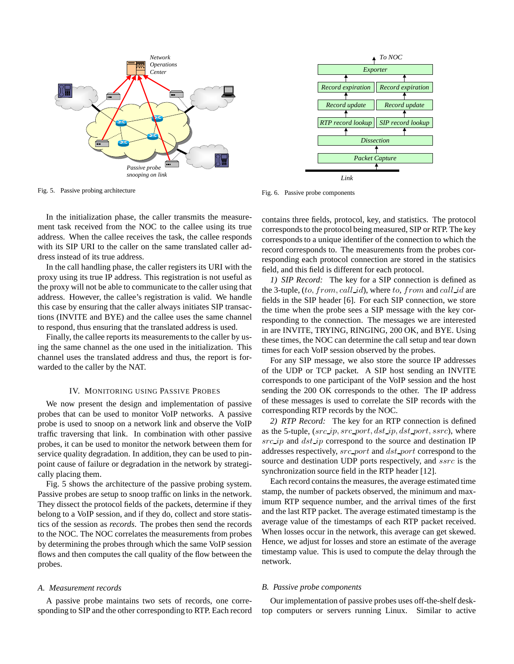



Fig. 5. Passive probing architecture

Fig. 6. Passive probe components

In the initialization phase, the caller transmits the measurement task received from the NOC to the callee using its true address. When the callee receives the task, the callee responds with its SIP URI to the caller on the same translated caller address instead of its true address.

In the call handling phase, the caller registers its URI with the proxy using its true IP address. This registration is not useful as the proxy will not be able to communicate to the caller using that address. However, the callee's registration is valid. We handle this case by ensuring that the caller always initiates SIP transactions (INVITE and BYE) and the callee uses the same channel to respond, thus ensuring that the translated address is used.

Finally, the callee reports its measurements to the caller by using the same channel as the one used in the initialization. This channel uses the translated address and thus, the report is forwarded to the caller by the NAT.

#### IV. MONITORING USING PASSIVE PROBES

We now present the design and implementation of passive probes that can be used to monitor VoIP networks. A passive probe is used to snoop on a network link and observe the VoIP traffic traversing that link. In combination with other passive probes, it can be used to monitor the network between them for service quality degradation. In addition, they can be used to pinpoint cause of failure or degradation in the network by strategically placing them.

Fig. 5 shows the architecture of the passive probing system. Passive probes are setup to snoop traffic on links in the network. They dissect the protocol fields of the packets, determine if they belong to a VoIP session, and if they do, collect and store statistics of the session as *records*. The probes then send the records to the NOC. The NOC correlates the measurements from probes by determining the probes through which the same VoIP session flows and then computes the call quality of the flow between the probes.

#### *A. Measurement records*

A passive probe maintains two sets of records, one corresponding to SIP and the other corresponding to RTP. Each record

contains three fields, protocol, key, and statistics. The protocol corresponds to the protocol being measured, SIP or RTP. The key corresponds to a unique identifier of the connection to which the record corresponds to. The measurements from the probes corresponding each protocol connection are stored in the statisics field, and this field is different for each protocol.

*1) SIP Record:* The key for a SIP connection is defined as the 3-tuple,  $(to, from, call, id)$ , where to, from and call id are fields in the SIP header [6]. For each SIP connection, we store the time when the probe sees a SIP message with the key corresponding to the connection. The messages we are interested in are INVITE, TRYING, RINGING, 200 OK, and BYE. Using these times, the NOC can determine the call setup and tear down times for each VoIP session observed by the probes.

For any SIP message, we also store the source IP addresses of the UDP or TCP packet. A SIP host sending an INVITE corresponds to one participant of the VoIP session and the host sending the 200 OK corresponds to the other. The IP address of these messages is used to correlate the SIP records with the corresponding RTP records by the NOC.

*2) RTP Record:* The key for an RTP connection is defined as the 5-tuple,  $src\_ip, src\_port, dst\_ip, dst\_port, ssrc)$ , where  $src$  ip and  $dst$  ip correspond to the source and destination IP addresses respectively, src\_port and dst\_port correspond to the source and destination UDP ports respectively, and *ssrc* is the synchronization source field in the RTP header [12].

Each record contains the measures, the average estimated time stamp, the number of packets observed, the minimum and maximum RTP sequence number, and the arrival times of the first and the last RTP packet. The average estimated timestamp is the average value of the timestamps of each RTP packet received. When losses occur in the network, this average can get skewed. Hence, we adjust for losses and store an estimate of the average timestamp value. This is used to compute the delay through the network.

#### *B. Passive probe components*

Our implementation of passive probes uses off-the-shelf desktop computers or servers running Linux. Similar to active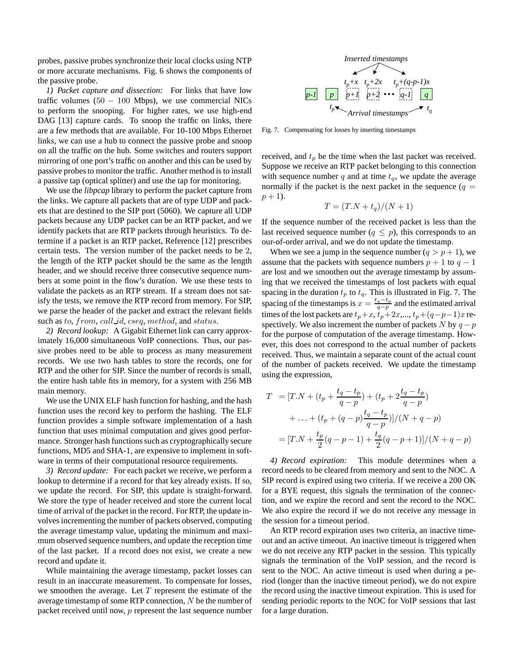probes, passive probes synchronize their local clocks using NTP or more accurate mechanisms. Fig. 6 shows the components of the passive probe.

*1) Packet capture and dissection:* For links that have low traffic volumes  $(50 - 100$  Mbps), we use commercial NICs to perform the snooping. For higher rates, we use high-end DAG [13] capture cards. To snoop the traffic on links, there are a few methods that are available. For 10-100 Mbps Ethernet links, we can use a hub to connect the passive probe and snoop on all the traffic on the hub. Some switches and routers support mirroring of one port's traffic on another and this can be used by passive probes to monitor the traffic. Another method is to install a passive tap (optical splitter) and use the tap for monitoring.

We use the *libpcap* library to perform the packet capture from the links. We capture all packets that are of type UDP and packets that are destined to the SIP port (5060). We capture all UDP packets because any UDP packet can be an RTP packet, and we identify packets that are RTP packets through heuristics. To determine if a packet is an RTP packet, Reference [12] prescribes certain tests. The version number of the packet needs to be 2, the length of the RTP packet should be the same as the length header, and we should receive three consecutive sequence numbers at some point in the flow's duration. We use these tests to validate the packets as an RTP stream. If a stream does not satisfy the tests, we remove the RTP record from memory. For SIP, we parse the header of the packet and extract the relevant fields such as to, from, call id, cseq, method, and status.

*2) Record lookup:* A Gigabit Ethernet link can carry approximately 16,000 simultaneous VoIP connections. Thus, our passive probes need to be able to process as many measurement records. We use two hash tables to store the records, one for RTP and the other for SIP. Since the number of records is small, the entire hash table fits in memory, for a system with 256 MB main memory.

We use the UNIX ELF hash function for hashing, and the hash function uses the record key to perform the hashing. The ELF function provides a simple software implementation of a hash function that uses minimal computation and gives good performance. Stronger hash functions such as cryptographically secure functions, MD5 and SHA-1, are expensive to implement in software in terms of their computational resource requirements.

*3) Record update:* For each packet we receive, we perform a lookup to determine if a record for that key already exists. If so, we update the record. For SIP, this update is straight-forward. We store the type of header received and store the current local time of arrival of the packet in the record. For RTP, the update involves incrementing the number of packets observed, computing the average timestamp value, updating the minimum and maximum observed sequence numbers, and update the reception time of the last packet. If a record does not exist, we create a new record and update it.

While maintaining the average timestamp, packet losses can result in an inaccurate measurement. To compensate for losses, we smoothen the average. Let  $T$  represent the estimate of the average timestamp of some RTP connection, N be the number of packet received until now,  $p$  represent the last sequence number



Fig. 7. Compensating for losses by inserting timestamps

received, and  $t_p$  be the time when the last packet was received. Suppose we receive an RTP packet belonging to this connection with sequence number q and at time  $t_q$ , we update the average normally if the packet is the next packet in the sequence  $(q =$  $p + 1$ ).

$$
T = (T.N + t_q)/(N+1)
$$

If the sequence number of the received packet is less than the last received sequence number  $(q \leq p)$ , this corresponds to an our-of-order arrival, and we do not update the timestamp.

When we see a jump in the sequence number  $(q > p + 1)$ , we assume that the packets with sequence numbers  $p + 1$  to  $q - 1$ are lost and we smoothen out the average timestamp by assuming that we received the timestamps of lost packets with equal spacing in the duration  $t_p$  to  $t_q$ . This is illustrated in Fig. 7. The spacing of the timestamps is  $x = \frac{t_q - t_p}{q - p}$  and the estimated arrival times of the lost packets are  $t_p+x$ ,  $t_p+2x$ ,...,  $t_p+(q-p-1)x$  respectively. We also increment the number of packets N by  $q - p$ for the purpose of computation of the average timestamp. However, this does not correspond to the actual number of packets received. Thus, we maintain a separate count of the actual count of the number of packets received. We update the timestamp using the expression,

$$
T = [T.N + (t_p + \frac{t_q - t_p}{q - p}) + (t_p + 2\frac{t_q - t_p}{q - p})
$$
  

$$
+ \dots + (t_p + (q - p)\frac{t_q - t_p}{q - p})]/(N + q - p)
$$
  

$$
= [T.N + \frac{t_p}{2}(q - p - 1) + \frac{t_q}{2}(q - p + 1)]/(N + q - p)
$$

*4) Record expiration:* This module determines when a record needs to be cleared from memory and sent to the NOC. A SIP record is expired using two criteria. If we receive a 200 OK for a BYE request, this signals the termination of the connection, and we expire the record and sent the record to the NOC. We also expire the record if we do not receive any message in the session for a timeout period.

An RTP record expiration uses two criteria, an inactive timeout and an active timeout. An inactive timeout is triggered when we do not receive any RTP packet in the session. This typically signals the termination of the VoIP session, and the record is sent to the NOC. An active timeout is used when during a period (longer than the inactive timeout period), we do not expire the record using the inactive timeout expiration. This is used for sending periodic reports to the NOC for VoIP sessions that last for a large duration.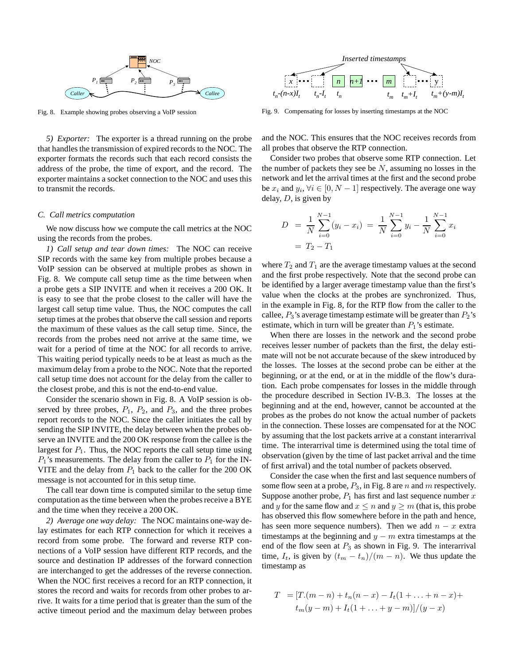

Fig. 8. Example showing probes observing a VoIP session

*5) Exporter:* The exporter is a thread running on the probe that handles the transmission of expired records to the NOC. The exporter formats the records such that each record consists the address of the probe, the time of export, and the record. The exporter maintains a socket connection to the NOC and uses this to transmit the records.

#### *C. Call metrics computation*

We now discuss how we compute the call metrics at the NOC using the records from the probes.

*1) Call setup and tear down times:* The NOC can receive SIP records with the same key from multiple probes because a VoIP session can be observed at multiple probes as shown in Fig. 8. We compute call setup time as the time between when a probe gets a SIP INVITE and when it receives a 200 OK. It is easy to see that the probe closest to the caller will have the largest call setup time value. Thus, the NOC computes the call setup times at the probes that observe the call session and reports the maximum of these values as the call setup time. Since, the records from the probes need not arrive at the same time, we wait for a period of time at the NOC for all records to arrive. This waiting period typically needs to be at least as much as the maximum delay from a probe to the NOC. Note that the reported call setup time does not account for the delay from the caller to the closest probe, and this is not the end-to-end value.

Consider the scenario shown in Fig. 8. A VoIP session is observed by three probes,  $P_1$ ,  $P_2$ , and  $P_3$ , and the three probes report records to the NOC. Since the caller initiates the call by sending the SIP INVITE, the delay between when the probes observe an INVITE and the 200 OK response from the callee is the largest for  $P_1$ . Thus, the NOC reports the call setup time using  $P_1$ 's measurements. The delay from the caller to  $P_1$  for the IN-VITE and the delay from  $P_1$  back to the caller for the 200 OK message is not accounted for in this setup time.

The call tear down time is computed similar to the setup time computation as the time between when the probes receive a BYE and the time when they receive a 200 OK.

*2) Average one way delay:* The NOC maintains one-way delay estimates for each RTP connection for which it receives a record from some probe. The forward and reverse RTP connections of a VoIP session have different RTP records, and the source and destination IP addresses of the forward connection are interchanged to get the addresses of the reverse connection. When the NOC first receives a record for an RTP connection, it stores the record and waits for records from other probes to arrive. It waits for a time period that is greater than the sum of the active timeout period and the maximum delay between probes



Fig. 9. Compensating for losses by inserting timestamps at the NOC

and the NOC. This ensures that the NOC receives records from all probes that observe the RTP connection.

Consider two probes that observe some RTP connection. Let the number of packets they see be  $N$ , assuming no losses in the network and let the arrival times at the first and the second probe be  $x_i$  and  $y_i, \forall i \in [0, N-1]$  respectively. The average one way delay,  $D$ , is given by

$$
D = \frac{1}{N} \sum_{i=0}^{N-1} (y_i - x_i) = \frac{1}{N} \sum_{i=0}^{N-1} y_i - \frac{1}{N} \sum_{i=0}^{N-1} x_i
$$
  
=  $T_2 - T_1$ 

where  $T_2$  and  $T_1$  are the average timestamp values at the second and the first probe respectively. Note that the second probe can be identified by a larger average timestamp value than the first's value when the clocks at the probes are synchronized. Thus, in the example in Fig. 8, for the RTP flow from the caller to the callee,  $P_3$ 's average timestamp estimate will be greater than  $P_2$ 's estimate, which in turn will be greater than  $P_1$ 's estimate.

When there are losses in the network and the second probe receives lesser number of packets than the first, the delay estimate will not be not accurate because of the skew introduced by the losses. The losses at the second probe can be either at the beginning, or at the end, or at in the middle of the flow's duration. Each probe compensates for losses in the middle through the procedure described in Section IV-B.3. The losses at the beginning and at the end, however, cannot be accounted at the probes as the probes do not know the actual number of packets in the connection. These losses are compensated for at the NOC by assuming that the lost packets arrive at a constant interarrival time. The interarrival time is determined using the total time of observation (given by the time of last packet arrival and the time of first arrival) and the total number of packets observed.

Consider the case when the first and last sequence numbers of some flow seen at a probe,  $P_3$ , in Fig. 8 are n and m respectively. Suppose another probe,  $P_1$  has first and last sequence number  $x$ and y for the same flow and  $x \leq n$  and  $y \geq m$  (that is, this probe has observed this flow somewhere before in the path and hence, has seen more sequence numbers). Then we add  $n - x$  extra timestamps at the beginning and  $y - m$  extra timestamps at the end of the flow seen at  $P_3$  as shown in Fig. 9. The interarrival time,  $I_t$ , is given by  $(t_m - t_n)/(m - n)$ . We thus update the timestamp as

$$
T = [T.(m-n) + tn(n-x) - It(1 + ... + n-x) +tm(y-m) + It(1 + ... + y-m)]/(y-x)
$$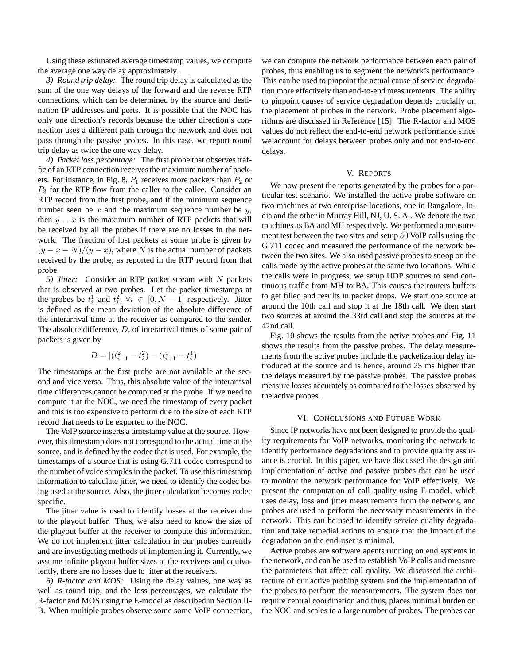Using these estimated average timestamp values, we compute the average one way delay approximately.

*3) Round trip delay:* The round trip delay is calculated as the sum of the one way delays of the forward and the reverse RTP connections, which can be determined by the source and destination IP addresses and ports. It is possible that the NOC has only one direction's records because the other direction's connection uses a different path through the network and does not pass through the passive probes. In this case, we report round trip delay as twice the one way delay.

*4) Packet loss percentage:* The first probe that observes traffic of an RTP connection receives the maximum number of packets. For instance, in Fig. 8,  $P_1$  receives more packets than  $P_2$  or  $P_3$  for the RTP flow from the caller to the callee. Consider an RTP record from the first probe, and if the minimum sequence number seen be x and the maximum sequence number be  $y$ , then  $y - x$  is the maximum number of RTP packets that will be received by all the probes if there are no losses in the network. The fraction of lost packets at some probe is given by  $(y - x - N)/(y - x)$ , where N is the actual number of packets received by the probe, as reported in the RTP record from that probe.

*5) Jitter:* Consider an RTP packet stream with N packets that is observed at two probes. Let the packet timestamps at the probes be  $t_i^1$  and  $t_i^2$ ,  $\forall i \in [0, N-1]$  respectively. Jitter is defined as the mean deviation of the absolute difference of the interarrival time at the receiver as compared to the sender. The absolute difference,  $D$ , of interarrival times of some pair of packets is given by

$$
D=|(t_{i+1}^2-t_i^2)-(t_{i+1}^1-t_i^1)|
$$

The timestamps at the first probe are not available at the second and vice versa. Thus, this absolute value of the interarrival time differences cannot be computed at the probe. If we need to compute it at the NOC, we need the timestamp of every packet and this is too expensive to perform due to the size of each RTP record that needs to be exported to the NOC.

The VoIP source inserts a timestamp value at the source. However, this timestamp does not correspond to the actual time at the source, and is defined by the codec that is used. For example, the timestamps of a source that is using G.711 codec correspond to the number of voice samples in the packet. To use this timestamp information to calculate jitter, we need to identify the codec being used at the source. Also, the jitter calculation becomes codec specific.

The jitter value is used to identify losses at the receiver due to the playout buffer. Thus, we also need to know the size of the playout buffer at the receiver to compute this information. We do not implement jitter calculation in our probes currently and are investigating methods of implementing it. Currently, we assume infinite playout buffer sizes at the receivers and equivalently, there are no losses due to jitter at the receivers.

*6) R-factor and MOS:* Using the delay values, one way as well as round trip, and the loss percentages, we calculate the R-factor and MOS using the E-model as described in Section II-B. When multiple probes observe some some VoIP connection, we can compute the network performance between each pair of probes, thus enabling us to segment the network's performance. This can be used to pinpoint the actual cause of service degradation more effectively than end-to-end measurements. The ability to pinpoint causes of service degradation depends crucially on the placement of probes in the network. Probe placement algorithms are discussed in Reference [15]. The R-factor and MOS values do not reflect the end-to-end network performance since we account for delays between probes only and not end-to-end delays.

## V. REPORTS

We now present the reports generated by the probes for a particular test scenario. We installed the active probe software on two machines at two enterprise locations, one in Bangalore, India and the other in Murray Hill, NJ, U. S. A.. We denote the two machines as BA and MH respectively. We performed a measurement test between the two sites and setup 50 VoIP calls using the G.711 codec and measured the performance of the network between the two sites. We also used passive probes to snoop on the calls made by the active probes at the same two locations. While the calls were in progress, we setup UDP sources to send continuous traffic from MH to BA. This causes the routers buffers to get filled and results in packet drops. We start one source at around the 10th call and stop it at the 18th call. We then start two sources at around the 33rd call and stop the sources at the 42nd call.

Fig. 10 shows the results from the active probes and Fig. 11 shows the results from the passive probes. The delay measurements from the active probes include the packetization delay introduced at the source and is hence, around 25 ms higher than the delays measured by the passive probes. The passive probes measure losses accurately as compared to the losses observed by the active probes.

#### VI. CONCLUSIONS AND FUTURE WORK

Since IP networks have not been designed to provide the quality requirements for VoIP networks, monitoring the network to identify performance degradations and to provide quality assurance is crucial. In this paper, we have discussed the design and implementation of active and passive probes that can be used to monitor the network performance for VoIP effectively. We present the computation of call quality using E-model, which uses delay, loss and jitter measurements from the network, and probes are used to perform the necessary measurements in the network. This can be used to identify service quality degradation and take remedial actions to ensure that the impact of the degradation on the end-user is minimal.

Active probes are software agents running on end systems in the network, and can be used to establish VoIP calls and measure the parameters that affect call quality. We discussed the architecture of our active probing system and the implementation of the probes to perform the measurements. The system does not require central coordination and thus, places minimal burden on the NOC and scales to a large number of probes. The probes can